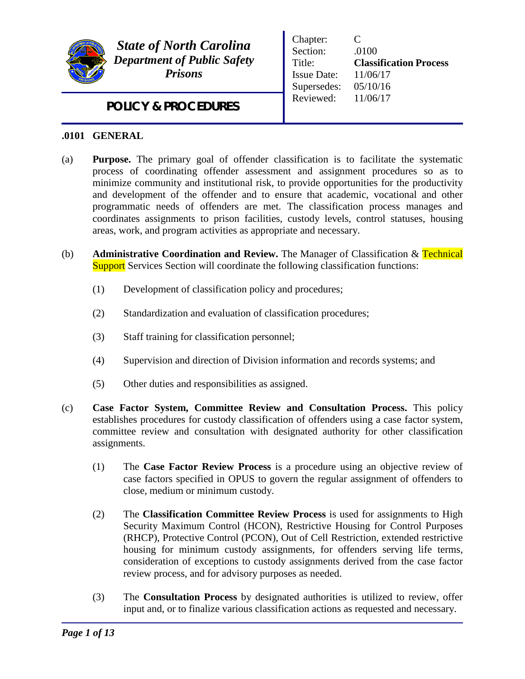

*State of North Carolina Department of Public Safety Prisons*

Chapter: C Section: .0100 Title: **Classification Process** Issue Date: 11/06/17 Supersedes: 05/10/16 Reviewed: 11/06/17

# *POLICY & PROCEDURES*

#### **.0101 GENERAL**

- (a) **Purpose.** The primary goal of offender classification is to facilitate the systematic process of coordinating offender assessment and assignment procedures so as to minimize community and institutional risk, to provide opportunities for the productivity and development of the offender and to ensure that academic, vocational and other programmatic needs of offenders are met. The classification process manages and coordinates assignments to prison facilities, custody levels, control statuses, housing areas, work, and program activities as appropriate and necessary.
- (b) **Administrative Coordination and Review.** The Manager of Classification & Technical **Support** Services Section will coordinate the following classification functions:
	- (1) Development of classification policy and procedures;
	- (2) Standardization and evaluation of classification procedures;
	- (3) Staff training for classification personnel;
	- (4) Supervision and direction of Division information and records systems; and
	- (5) Other duties and responsibilities as assigned.
- (c) **Case Factor System, Committee Review and Consultation Process.** This policy establishes procedures for custody classification of offenders using a case factor system, committee review and consultation with designated authority for other classification assignments.
	- (1) The **Case Factor Review Process** is a procedure using an objective review of case factors specified in OPUS to govern the regular assignment of offenders to close, medium or minimum custody.
	- (2) The **Classification Committee Review Process** is used for assignments to High Security Maximum Control (HCON), Restrictive Housing for Control Purposes (RHCP), Protective Control (PCON), Out of Cell Restriction, extended restrictive housing for minimum custody assignments, for offenders serving life terms, consideration of exceptions to custody assignments derived from the case factor review process, and for advisory purposes as needed.
	- (3) The **Consultation Process** by designated authorities is utilized to review, offer input and, or to finalize various classification actions as requested and necessary.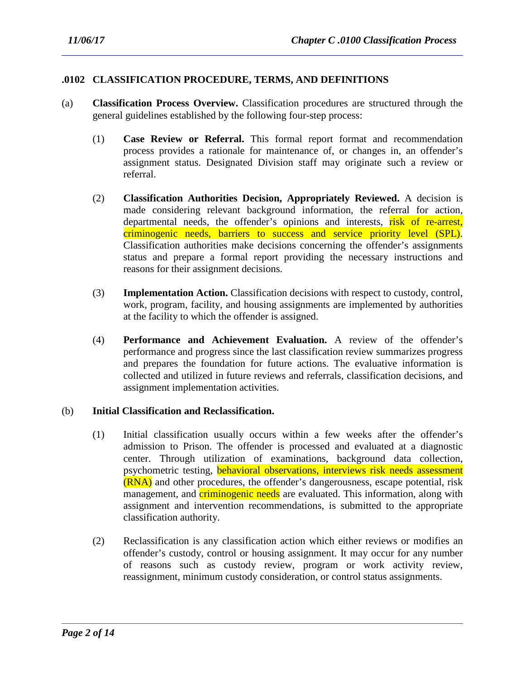#### **.0102 CLASSIFICATION PROCEDURE, TERMS, AND DEFINITIONS**

- (a) **Classification Process Overview.** Classification procedures are structured through the general guidelines established by the following four-step process:
	- (1) **Case Review or Referral.** This formal report format and recommendation process provides a rationale for maintenance of, or changes in, an offender's assignment status. Designated Division staff may originate such a review or referral.
	- (2) **Classification Authorities Decision, Appropriately Reviewed.** A decision is made considering relevant background information, the referral for action, departmental needs, the offender's opinions and interests, risk of re-arrest, criminogenic needs, barriers to success and service priority level (SPL). Classification authorities make decisions concerning the offender's assignments status and prepare a formal report providing the necessary instructions and reasons for their assignment decisions.
	- (3) **Implementation Action.** Classification decisions with respect to custody, control, work, program, facility, and housing assignments are implemented by authorities at the facility to which the offender is assigned.
	- (4) **Performance and Achievement Evaluation.** A review of the offender's performance and progress since the last classification review summarizes progress and prepares the foundation for future actions. The evaluative information is collected and utilized in future reviews and referrals, classification decisions, and assignment implementation activities.

#### (b) **Initial Classification and Reclassification.**

- (1) Initial classification usually occurs within a few weeks after the offender's admission to Prison. The offender is processed and evaluated at a diagnostic center. Through utilization of examinations, background data collection, psychometric testing, **behavioral observations, interviews risk needs assessment** (RNA) and other procedures, the offender's dangerousness, escape potential, risk management, and **criminogenic needs** are evaluated. This information, along with assignment and intervention recommendations, is submitted to the appropriate classification authority.
- (2) Reclassification is any classification action which either reviews or modifies an offender's custody, control or housing assignment. It may occur for any number of reasons such as custody review, program or work activity review, reassignment, minimum custody consideration, or control status assignments.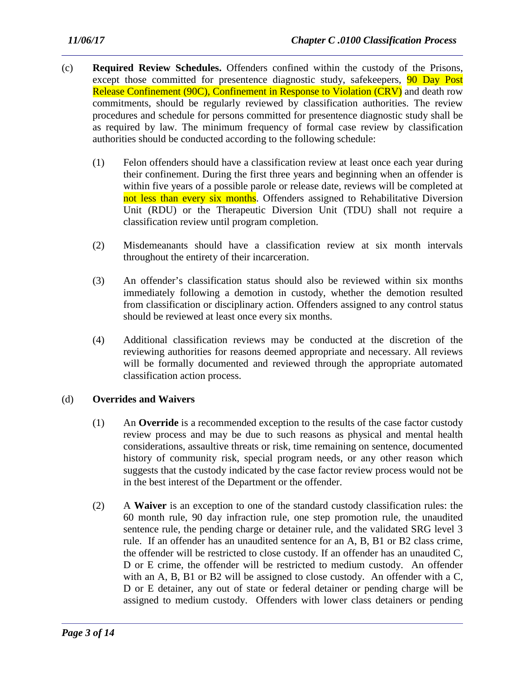- (c) **Required Review Schedules.** Offenders confined within the custody of the Prisons, except those committed for presentence diagnostic study, safekeepers, **90 Day Post** Release Confinement (90C), Confinement in Response to Violation (CRV) and death row commitments, should be regularly reviewed by classification authorities. The review procedures and schedule for persons committed for presentence diagnostic study shall be as required by law. The minimum frequency of formal case review by classification authorities should be conducted according to the following schedule:
	- (1) Felon offenders should have a classification review at least once each year during their confinement. During the first three years and beginning when an offender is within five years of a possible parole or release date, reviews will be completed at not less than every six months. Offenders assigned to Rehabilitative Diversion Unit (RDU) or the Therapeutic Diversion Unit (TDU) shall not require a classification review until program completion.
	- (2) Misdemeanants should have a classification review at six month intervals throughout the entirety of their incarceration.
	- (3) An offender's classification status should also be reviewed within six months immediately following a demotion in custody, whether the demotion resulted from classification or disciplinary action. Offenders assigned to any control status should be reviewed at least once every six months.
	- (4) Additional classification reviews may be conducted at the discretion of the reviewing authorities for reasons deemed appropriate and necessary. All reviews will be formally documented and reviewed through the appropriate automated classification action process.

#### (d) **Overrides and Waivers**

- (1) An **Override** is a recommended exception to the results of the case factor custody review process and may be due to such reasons as physical and mental health considerations, assaultive threats or risk, time remaining on sentence, documented history of community risk, special program needs, or any other reason which suggests that the custody indicated by the case factor review process would not be in the best interest of the Department or the offender.
- (2) A **Waiver** is an exception to one of the standard custody classification rules: the 60 month rule, 90 day infraction rule, one step promotion rule, the unaudited sentence rule, the pending charge or detainer rule, and the validated SRG level 3 rule. If an offender has an unaudited sentence for an A, B, B1 or B2 class crime, the offender will be restricted to close custody. If an offender has an unaudited C, D or E crime, the offender will be restricted to medium custody. An offender with an A, B, B1 or B2 will be assigned to close custody. An offender with a C, D or E detainer, any out of state or federal detainer or pending charge will be assigned to medium custody. Offenders with lower class detainers or pending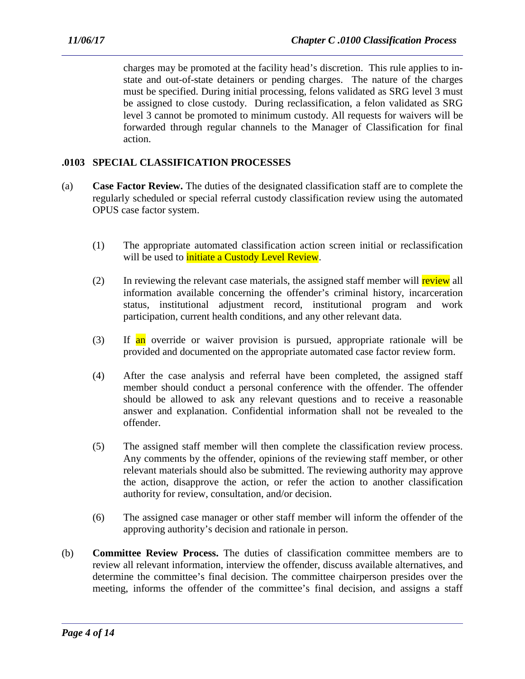charges may be promoted at the facility head's discretion. This rule applies to instate and out-of-state detainers or pending charges. The nature of the charges must be specified. During initial processing, felons validated as SRG level 3 must be assigned to close custody. During reclassification, a felon validated as SRG level 3 cannot be promoted to minimum custody. All requests for waivers will be forwarded through regular channels to the Manager of Classification for final action.

## **.0103 SPECIAL CLASSIFICATION PROCESSES**

- (a) **Case Factor Review.** The duties of the designated classification staff are to complete the regularly scheduled or special referral custody classification review using the automated OPUS case factor system.
	- (1) The appropriate automated classification action screen initial or reclassification will be used to *initiate a Custody Level Review*.
	- (2) In reviewing the relevant case materials, the assigned staff member will review all information available concerning the offender's criminal history, incarceration status, institutional adjustment record, institutional program and work participation, current health conditions, and any other relevant data.
	- (3) If an override or waiver provision is pursued, appropriate rationale will be provided and documented on the appropriate automated case factor review form.
	- (4) After the case analysis and referral have been completed, the assigned staff member should conduct a personal conference with the offender. The offender should be allowed to ask any relevant questions and to receive a reasonable answer and explanation. Confidential information shall not be revealed to the offender.
	- (5) The assigned staff member will then complete the classification review process. Any comments by the offender, opinions of the reviewing staff member, or other relevant materials should also be submitted. The reviewing authority may approve the action, disapprove the action, or refer the action to another classification authority for review, consultation, and/or decision.
	- (6) The assigned case manager or other staff member will inform the offender of the approving authority's decision and rationale in person.
- (b) **Committee Review Process.** The duties of classification committee members are to review all relevant information, interview the offender, discuss available alternatives, and determine the committee's final decision. The committee chairperson presides over the meeting, informs the offender of the committee's final decision, and assigns a staff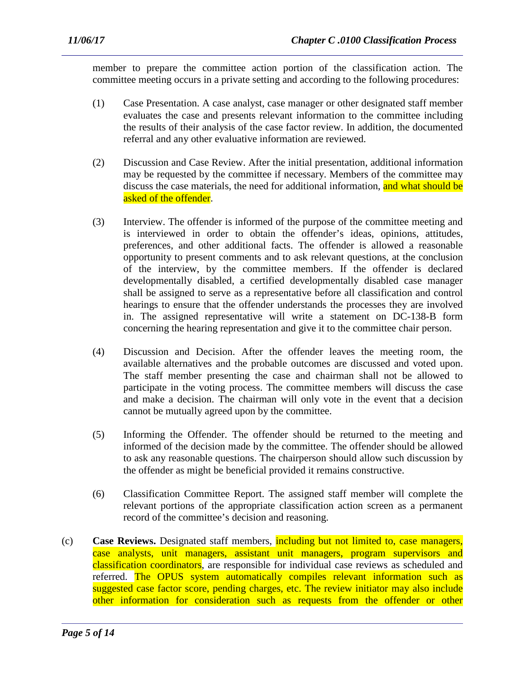member to prepare the committee action portion of the classification action. The committee meeting occurs in a private setting and according to the following procedures:

- (1) Case Presentation. A case analyst, case manager or other designated staff member evaluates the case and presents relevant information to the committee including the results of their analysis of the case factor review. In addition, the documented referral and any other evaluative information are reviewed.
- (2) Discussion and Case Review. After the initial presentation, additional information may be requested by the committee if necessary. Members of the committee may discuss the case materials, the need for additional information, and what should be asked of the offender.
- (3) Interview. The offender is informed of the purpose of the committee meeting and is interviewed in order to obtain the offender's ideas, opinions, attitudes, preferences, and other additional facts. The offender is allowed a reasonable opportunity to present comments and to ask relevant questions, at the conclusion of the interview, by the committee members. If the offender is declared developmentally disabled, a certified developmentally disabled case manager shall be assigned to serve as a representative before all classification and control hearings to ensure that the offender understands the processes they are involved in. The assigned representative will write a statement on DC-138-B form concerning the hearing representation and give it to the committee chair person.
- (4) Discussion and Decision. After the offender leaves the meeting room, the available alternatives and the probable outcomes are discussed and voted upon. The staff member presenting the case and chairman shall not be allowed to participate in the voting process. The committee members will discuss the case and make a decision. The chairman will only vote in the event that a decision cannot be mutually agreed upon by the committee.
- (5) Informing the Offender. The offender should be returned to the meeting and informed of the decision made by the committee. The offender should be allowed to ask any reasonable questions. The chairperson should allow such discussion by the offender as might be beneficial provided it remains constructive.
- (6) Classification Committee Report. The assigned staff member will complete the relevant portions of the appropriate classification action screen as a permanent record of the committee's decision and reasoning.
- (c) **Case Reviews.** Designated staff members, including but not limited to, case managers, case analysts, unit managers, assistant unit managers, program supervisors and classification coordinators, are responsible for individual case reviews as scheduled and referred. The OPUS system automatically compiles relevant information such as suggested case factor score, pending charges, etc. The review initiator may also include other information for consideration such as requests from the offender or other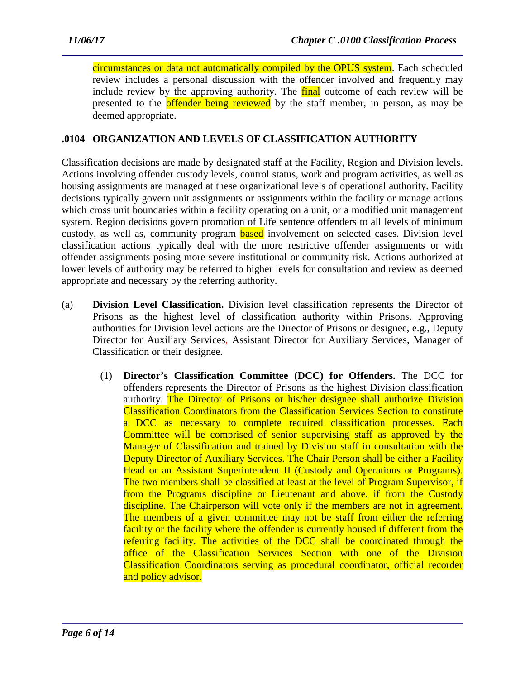circumstances or data not automatically compiled by the OPUS system. Each scheduled review includes a personal discussion with the offender involved and frequently may include review by the approving authority. The final outcome of each review will be presented to the offender being reviewed by the staff member, in person, as may be deemed appropriate.

## **.0104 ORGANIZATION AND LEVELS OF CLASSIFICATION AUTHORITY**

Classification decisions are made by designated staff at the Facility, Region and Division levels. Actions involving offender custody levels, control status, work and program activities, as well as housing assignments are managed at these organizational levels of operational authority. Facility decisions typically govern unit assignments or assignments within the facility or manage actions which cross unit boundaries within a facility operating on a unit, or a modified unit management system. Region decisions govern promotion of Life sentence offenders to all levels of minimum custody, as well as, community program **based** involvement on selected cases. Division level classification actions typically deal with the more restrictive offender assignments or with offender assignments posing more severe institutional or community risk. Actions authorized at lower levels of authority may be referred to higher levels for consultation and review as deemed appropriate and necessary by the referring authority.

- (a) **Division Level Classification.** Division level classification represents the Director of Prisons as the highest level of classification authority within Prisons. Approving authorities for Division level actions are the Director of Prisons or designee, e.g., Deputy Director for Auxiliary Services, Assistant Director for Auxiliary Services, Manager of Classification or their designee.
	- (1) **Director's Classification Committee (DCC) for Offenders.** The DCC for offenders represents the Director of Prisons as the highest Division classification authority. The Director of Prisons or his/her designee shall authorize Division Classification Coordinators from the Classification Services Section to constitute a DCC as necessary to complete required classification processes. Each Committee will be comprised of senior supervising staff as approved by the Manager of Classification and trained by Division staff in consultation with the Deputy Director of Auxiliary Services. The Chair Person shall be either a Facility Head or an Assistant Superintendent II (Custody and Operations or Programs). The two members shall be classified at least at the level of Program Supervisor, if from the Programs discipline or Lieutenant and above, if from the Custody discipline. The Chairperson will vote only if the members are not in agreement. The members of a given committee may not be staff from either the referring facility or the facility where the offender is currently housed if different from the referring facility. The activities of the DCC shall be coordinated through the office of the Classification Services Section with one of the Division Classification Coordinators serving as procedural coordinator, official recorder and policy advisor.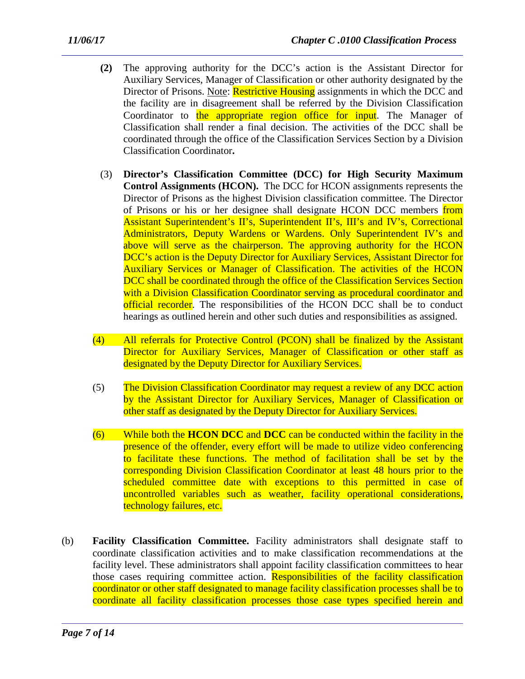- **(2)** The approving authority for the DCC's action is the Assistant Director for Auxiliary Services, Manager of Classification or other authority designated by the Director of Prisons. Note: **Restrictive Housing** assignments in which the DCC and the facility are in disagreement shall be referred by the Division Classification Coordinator to the appropriate region office for input. The Manager of Classification shall render a final decision. The activities of the DCC shall be coordinated through the office of the Classification Services Section by a Division Classification Coordinator**.**
- (3) **Director's Classification Committee (DCC) for High Security Maximum Control Assignments (HCON).** The DCC for HCON assignments represents the Director of Prisons as the highest Division classification committee. The Director of Prisons or his or her designee shall designate HCON DCC members from Assistant Superintendent's II's, Superintendent II's, III's and IV's, Correctional Administrators, Deputy Wardens or Wardens. Only Superintendent IV's and above will serve as the chairperson. The approving authority for the HCON DCC's action is the Deputy Director for Auxiliary Services, Assistant Director for Auxiliary Services or Manager of Classification. The activities of the HCON DCC shall be coordinated through the office of the Classification Services Section with a Division Classification Coordinator serving as procedural coordinator and official recorder. The responsibilities of the HCON DCC shall be to conduct hearings as outlined herein and other such duties and responsibilities as assigned.
- (4) All referrals for Protective Control (PCON) shall be finalized by the Assistant Director for Auxiliary Services, Manager of Classification or other staff as designated by the Deputy Director for Auxiliary Services.
- (5) The Division Classification Coordinator may request a review of any DCC action by the Assistant Director for Auxiliary Services, Manager of Classification or other staff as designated by the Deputy Director for Auxiliary Services.
- (6) While both the **HCON DCC** and **DCC** can be conducted within the facility in the presence of the offender, every effort will be made to utilize video conferencing to facilitate these functions. The method of facilitation shall be set by the corresponding Division Classification Coordinator at least 48 hours prior to the scheduled committee date with exceptions to this permitted in case of uncontrolled variables such as weather, facility operational considerations, technology failures, etc.
- (b) **Facility Classification Committee.** Facility administrators shall designate staff to coordinate classification activities and to make classification recommendations at the facility level. These administrators shall appoint facility classification committees to hear those cases requiring committee action. Responsibilities of the facility classification coordinator or other staff designated to manage facility classification processes shall be to coordinate all facility classification processes those case types specified herein and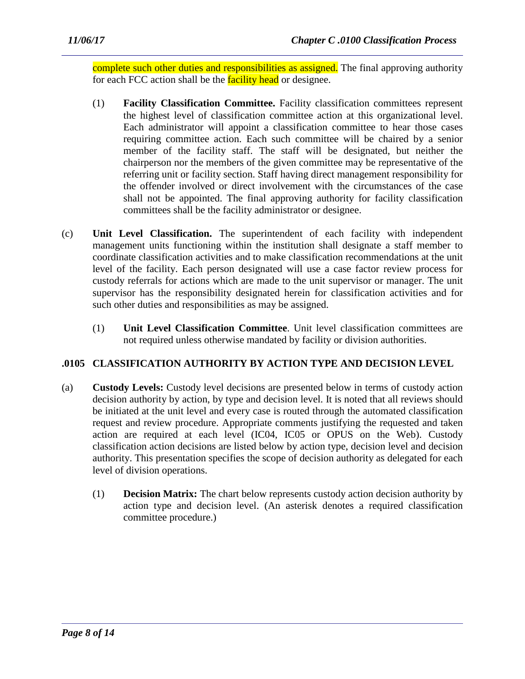complete such other duties and responsibilities as assigned. The final approving authority for each FCC action shall be the **facility head** or designee.

- (1) **Facility Classification Committee.** Facility classification committees represent the highest level of classification committee action at this organizational level. Each administrator will appoint a classification committee to hear those cases requiring committee action. Each such committee will be chaired by a senior member of the facility staff. The staff will be designated, but neither the chairperson nor the members of the given committee may be representative of the referring unit or facility section. Staff having direct management responsibility for the offender involved or direct involvement with the circumstances of the case shall not be appointed. The final approving authority for facility classification committees shall be the facility administrator or designee.
- (c) **Unit Level Classification.** The superintendent of each facility with independent management units functioning within the institution shall designate a staff member to coordinate classification activities and to make classification recommendations at the unit level of the facility. Each person designated will use a case factor review process for custody referrals for actions which are made to the unit supervisor or manager. The unit supervisor has the responsibility designated herein for classification activities and for such other duties and responsibilities as may be assigned.
	- (1) **Unit Level Classification Committee**. Unit level classification committees are not required unless otherwise mandated by facility or division authorities.

# **.0105 CLASSIFICATION AUTHORITY BY ACTION TYPE AND DECISION LEVEL**

- (a) **Custody Levels:** Custody level decisions are presented below in terms of custody action decision authority by action, by type and decision level. It is noted that all reviews should be initiated at the unit level and every case is routed through the automated classification request and review procedure. Appropriate comments justifying the requested and taken action are required at each level (IC04, IC05 or OPUS on the Web). Custody classification action decisions are listed below by action type, decision level and decision authority. This presentation specifies the scope of decision authority as delegated for each level of division operations.
	- (1) **Decision Matrix:** The chart below represents custody action decision authority by action type and decision level. (An asterisk denotes a required classification committee procedure.)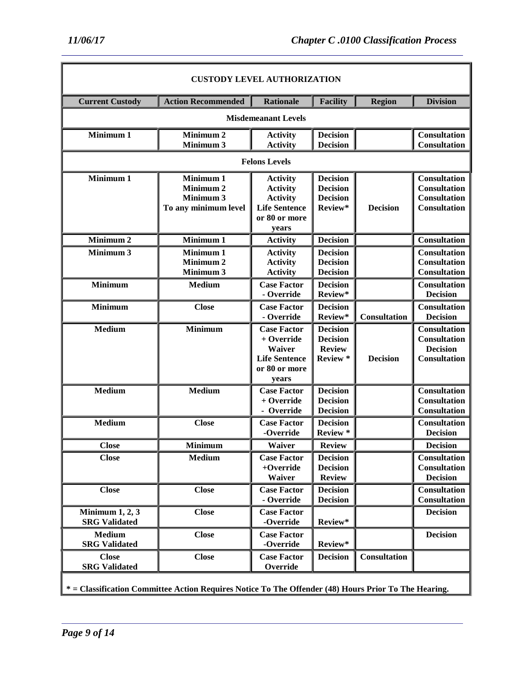| 11/06/17 |  |
|----------|--|
|----------|--|

| <b>CUSTODY LEVEL AUTHORIZATION</b>                                                                   |                                                                        |                                                                                                         |                                                                  |                     |                                                                                          |
|------------------------------------------------------------------------------------------------------|------------------------------------------------------------------------|---------------------------------------------------------------------------------------------------------|------------------------------------------------------------------|---------------------|------------------------------------------------------------------------------------------|
| <b>Current Custody</b>                                                                               | <b>Action Recommended</b>                                              | <b>Rationale</b>                                                                                        | <b>Facility</b>                                                  | <b>Region</b>       | <b>Division</b>                                                                          |
|                                                                                                      |                                                                        | <b>Misdemeanant Levels</b>                                                                              |                                                                  |                     |                                                                                          |
| Minimum 1                                                                                            | Minimum <sub>2</sub><br>Minimum 3                                      | <b>Activity</b><br><b>Activity</b>                                                                      | <b>Decision</b><br><b>Decision</b>                               |                     | <b>Consultation</b><br><b>Consultation</b>                                               |
|                                                                                                      |                                                                        | <b>Felons Levels</b>                                                                                    |                                                                  |                     |                                                                                          |
| Minimum 1                                                                                            | Minimum 1<br>Minimum <sub>2</sub><br>Minimum 3<br>To any minimum level | <b>Activity</b><br><b>Activity</b><br><b>Activity</b><br><b>Life Sentence</b><br>or 80 or more<br>years | <b>Decision</b><br><b>Decision</b><br><b>Decision</b><br>Review* | <b>Decision</b>     | <b>Consultation</b><br><b>Consultation</b><br><b>Consultation</b><br><b>Consultation</b> |
| Minimum <sub>2</sub>                                                                                 | Minimum 1                                                              | <b>Activity</b>                                                                                         | <b>Decision</b>                                                  |                     | Consultation                                                                             |
| Minimum 3                                                                                            | Minimum 1<br>Minimum <sub>2</sub><br>Minimum 3                         | <b>Activity</b><br><b>Activity</b><br><b>Activity</b>                                                   | <b>Decision</b><br><b>Decision</b><br><b>Decision</b>            |                     | <b>Consultation</b><br><b>Consultation</b><br><b>Consultation</b>                        |
| <b>Minimum</b>                                                                                       | Medium                                                                 | <b>Case Factor</b><br>- Override                                                                        | <b>Decision</b><br>Review*                                       |                     | Consultation<br><b>Decision</b>                                                          |
| Minimum                                                                                              | <b>Close</b>                                                           | <b>Case Factor</b><br>- Override                                                                        | <b>Decision</b><br>Review*                                       | <b>Consultation</b> | <b>Consultation</b><br><b>Decision</b>                                                   |
| Medium                                                                                               | <b>Minimum</b>                                                         | <b>Case Factor</b><br>+ Override<br>Waiver<br><b>Life Sentence</b><br>or 80 or more<br>years            | <b>Decision</b><br><b>Decision</b><br><b>Review</b><br>Review *  | <b>Decision</b>     | Consultation<br><b>Consultation</b><br><b>Decision</b><br><b>Consultation</b>            |
| Medium                                                                                               | Medium                                                                 | <b>Case Factor</b><br>$+$ Override<br>- Override                                                        | <b>Decision</b><br><b>Decision</b><br><b>Decision</b>            |                     | <b>Consultation</b><br><b>Consultation</b><br><b>Consultation</b>                        |
| Medium                                                                                               | <b>Close</b>                                                           | <b>Case Factor</b><br>-Override                                                                         | <b>Decision</b><br>Review*                                       |                     | <b>Consultation</b><br><b>Decision</b>                                                   |
| <b>Close</b>                                                                                         | <b>Minimum</b>                                                         | Waiver                                                                                                  | <b>Review</b>                                                    |                     | <b>Decision</b>                                                                          |
| <b>Close</b>                                                                                         | Medium                                                                 | <b>Case Factor</b><br>$+$ Override<br>Waiver                                                            | <b>Decision</b><br><b>Decision</b><br><b>Review</b>              |                     | <b>Consultation</b><br><b>Consultation</b><br><b>Decision</b>                            |
| <b>Close</b>                                                                                         | <b>Close</b>                                                           | <b>Case Factor</b><br>- Override                                                                        | <b>Decision</b><br><b>Decision</b>                               |                     | <b>Consultation</b><br><b>Consultation</b>                                               |
| Minimum $1, 2, 3$<br><b>SRG Validated</b>                                                            | <b>Close</b>                                                           | <b>Case Factor</b><br>-Override                                                                         | Review*                                                          |                     | <b>Decision</b>                                                                          |
| Medium<br><b>SRG Validated</b>                                                                       | <b>Close</b>                                                           | <b>Case Factor</b><br>-Override                                                                         | Review*                                                          |                     | <b>Decision</b>                                                                          |
| <b>Close</b><br><b>SRG Validated</b>                                                                 | <b>Close</b>                                                           | <b>Case Factor</b><br>Override                                                                          | <b>Decision</b>                                                  | <b>Consultation</b> |                                                                                          |
| * = Classification Committee Action Requires Notice To The Offender (48) Hours Prior To The Hearing. |                                                                        |                                                                                                         |                                                                  |                     |                                                                                          |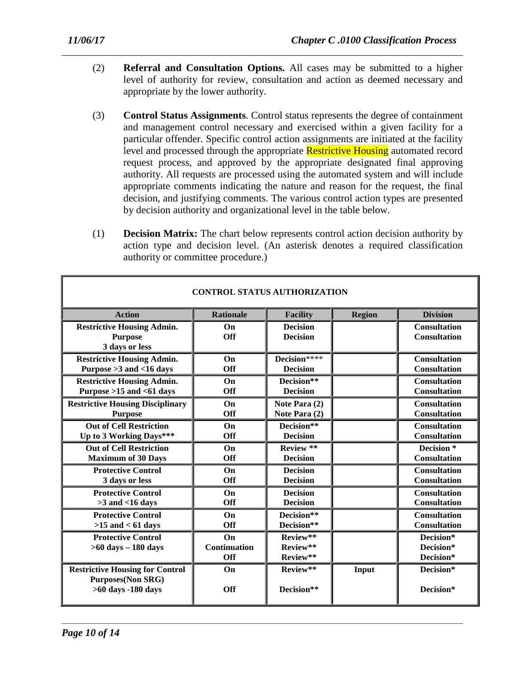- (2) **Referral and Consultation Options.** All cases may be submitted to a higher level of authority for review, consultation and action as deemed necessary and appropriate by the lower authority.
- (3) **Control Status Assignments**. Control status represents the degree of containment and management control necessary and exercised within a given facility for a particular offender. Specific control action assignments are initiated at the facility level and processed through the appropriate **Restrictive Housing** automated record request process, and approved by the appropriate designated final approving authority. All requests are processed using the automated system and will include appropriate comments indicating the nature and reason for the request, the final decision, and justifying comments. The various control action types are presented by decision authority and organizational level in the table below.
- (1) **Decision Matrix:** The chart below represents control action decision authority by action type and decision level. (An asterisk denotes a required classification authority or committee procedure.)

| <b>CONTROL STATUS AUTHORIZATION</b>                                                      |                           |                                    |               |                                            |
|------------------------------------------------------------------------------------------|---------------------------|------------------------------------|---------------|--------------------------------------------|
| <b>Action</b>                                                                            | <b>Rationale</b>          | <b>Facility</b>                    | <b>Region</b> | <b>Division</b>                            |
| <b>Restrictive Housing Admin.</b><br><b>Purpose</b><br>3 days or less                    | On<br>Off                 | <b>Decision</b><br><b>Decision</b> |               | <b>Consultation</b><br><b>Consultation</b> |
| <b>Restrictive Housing Admin.</b>                                                        | On                        | Decision****                       |               | <b>Consultation</b>                        |
| Purpose > 3 and < 16 days                                                                | Off                       | <b>Decision</b>                    |               | <b>Consultation</b>                        |
| <b>Restrictive Housing Admin.</b>                                                        | On                        | Decision**                         |               | <b>Consultation</b>                        |
| Purpose $>15$ and $< 61$ days                                                            | <b>Off</b>                | <b>Decision</b>                    |               | <b>Consultation</b>                        |
| <b>Restrictive Housing Disciplinary</b>                                                  | On                        | Note Para (2)                      |               | <b>Consultation</b>                        |
| <b>Purpose</b>                                                                           | <b>Off</b>                | Note Para (2)                      |               | <b>Consultation</b>                        |
| <b>Out of Cell Restriction</b>                                                           | On                        | Decision**                         |               | <b>Consultation</b>                        |
| Up to 3 Working Days***                                                                  | Off                       | <b>Decision</b>                    |               | <b>Consultation</b>                        |
| <b>Out of Cell Restriction</b>                                                           | On                        | Review **                          |               | Decision <sup>*</sup>                      |
| <b>Maximum of 30 Days</b>                                                                | <b>Off</b>                | <b>Decision</b>                    |               | <b>Consultation</b>                        |
| <b>Protective Control</b>                                                                | On                        | <b>Decision</b>                    |               | <b>Consultation</b>                        |
| 3 days or less                                                                           | Off                       | <b>Decision</b>                    |               | <b>Consultation</b>                        |
| <b>Protective Control</b>                                                                | On                        | <b>Decision</b>                    |               | <b>Consultation</b>                        |
| $>3$ and $<16$ days                                                                      | Off                       | <b>Decision</b>                    |               | <b>Consultation</b>                        |
| <b>Protective Control</b>                                                                | On                        | Decision**                         |               | <b>Consultation</b>                        |
| $>15$ and $< 61$ days                                                                    | Off                       | Decision**                         |               | <b>Consultation</b>                        |
| <b>Protective Control</b><br>$>60$ days $-180$ days                                      | On<br>Continuation<br>Off | Review**<br>Review**<br>Review**   |               | Decision*<br>Decision*<br>Decision*        |
| <b>Restrictive Housing for Control</b><br><b>Purposes(Non SRG)</b><br>>60 days -180 days | On<br><b>Off</b>          | Review**<br>Decision**             | Input         | Decision*<br>Decision*                     |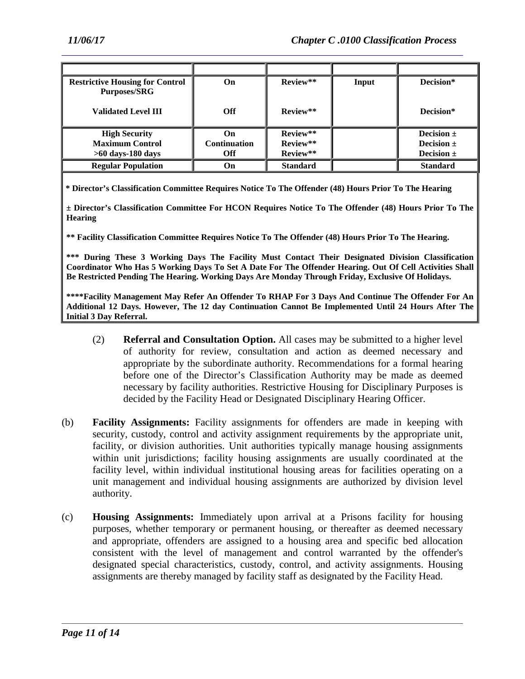| <b>Restrictive Housing for Control</b><br><b>Purposes/SRG</b> | On                  | Review**        | Input | Decision*       |
|---------------------------------------------------------------|---------------------|-----------------|-------|-----------------|
| <b>Validated Level III</b>                                    | <b>Off</b>          | Review**        |       | Decision*       |
| <b>High Security</b>                                          | On                  | Review**        |       | Decision $\pm$  |
| <b>Maximum Control</b>                                        | <b>Continuation</b> | Review**        |       | Decision $\pm$  |
| $>60$ days-180 days                                           | Off                 | Review**        |       | Decision $\pm$  |
| <b>Regular Population</b>                                     | On                  | <b>Standard</b> |       | <b>Standard</b> |

**\* Director's Classification Committee Requires Notice To The Offender (48) Hours Prior To The Hearing**

**± Director's Classification Committee For HCON Requires Notice To The Offender (48) Hours Prior To The Hearing**

**\*\* Facility Classification Committee Requires Notice To The Offender (48) Hours Prior To The Hearing.**

**\*\*\* During These 3 Working Days The Facility Must Contact Their Designated Division Classification Coordinator Who Has 5 Working Days To Set A Date For The Offender Hearing. Out Of Cell Activities Shall Be Restricted Pending The Hearing. Working Days Are Monday Through Friday, Exclusive Of Holidays.**

**\*\*\*\*Facility Management May Refer An Offender To RHAP For 3 Days And Continue The Offender For An Additional 12 Days. However, The 12 day Continuation Cannot Be Implemented Until 24 Hours After The Initial 3 Day Referral.**

- (2) **Referral and Consultation Option.** All cases may be submitted to a higher level of authority for review, consultation and action as deemed necessary and appropriate by the subordinate authority. Recommendations for a formal hearing before one of the Director's Classification Authority may be made as deemed necessary by facility authorities. Restrictive Housing for Disciplinary Purposes is decided by the Facility Head or Designated Disciplinary Hearing Officer.
- (b) **Facility Assignments:** Facility assignments for offenders are made in keeping with security, custody, control and activity assignment requirements by the appropriate unit, facility, or division authorities. Unit authorities typically manage housing assignments within unit jurisdictions; facility housing assignments are usually coordinated at the facility level, within individual institutional housing areas for facilities operating on a unit management and individual housing assignments are authorized by division level authority.
- (c) **Housing Assignments:** Immediately upon arrival at a Prisons facility for housing purposes, whether temporary or permanent housing, or thereafter as deemed necessary and appropriate, offenders are assigned to a housing area and specific bed allocation consistent with the level of management and control warranted by the offender's designated special characteristics, custody, control, and activity assignments. Housing assignments are thereby managed by facility staff as designated by the Facility Head.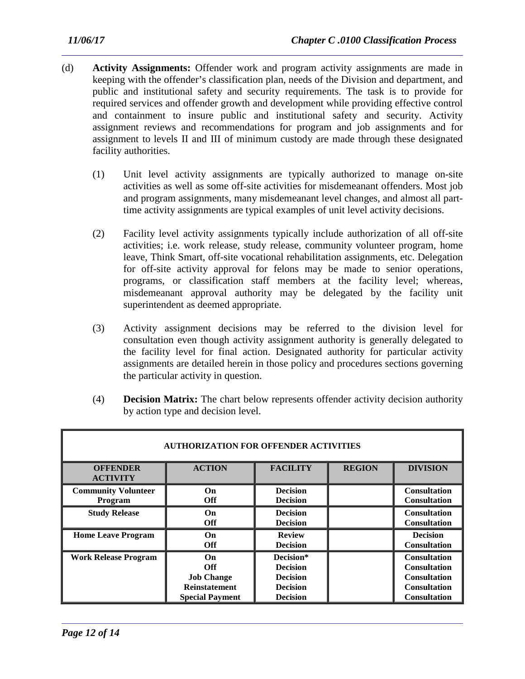- (d) **Activity Assignments:** Offender work and program activity assignments are made in keeping with the offender's classification plan, needs of the Division and department, and public and institutional safety and security requirements. The task is to provide for required services and offender growth and development while providing effective control and containment to insure public and institutional safety and security. Activity assignment reviews and recommendations for program and job assignments and for assignment to levels II and III of minimum custody are made through these designated facility authorities.
	- (1) Unit level activity assignments are typically authorized to manage on-site activities as well as some off-site activities for misdemeanant offenders. Most job and program assignments, many misdemeanant level changes, and almost all parttime activity assignments are typical examples of unit level activity decisions.
	- (2) Facility level activity assignments typically include authorization of all off-site activities; i.e. work release, study release, community volunteer program, home leave, Think Smart, off-site vocational rehabilitation assignments, etc. Delegation for off-site activity approval for felons may be made to senior operations, programs, or classification staff members at the facility level; whereas, misdemeanant approval authority may be delegated by the facility unit superintendent as deemed appropriate.
	- (3) Activity assignment decisions may be referred to the division level for consultation even though activity assignment authority is generally delegated to the facility level for final action. Designated authority for particular activity assignments are detailed herein in those policy and procedures sections governing the particular activity in question.
	- (4) **Decision Matrix:** The chart below represents offender activity decision authority by action type and decision level.

| <b>AUTHORIZATION FOR OFFENDER ACTIVITIES</b> |                                                                                         |                                                                                       |               |                                                                                                                 |
|----------------------------------------------|-----------------------------------------------------------------------------------------|---------------------------------------------------------------------------------------|---------------|-----------------------------------------------------------------------------------------------------------------|
| <b>OFFENDER</b><br><b>ACTIVITY</b>           | <b>ACTION</b>                                                                           | <b>FACILITY</b>                                                                       | <b>REGION</b> | <b>DIVISION</b>                                                                                                 |
| <b>Community Volunteer</b><br>Program        | <b>On</b><br><b>Off</b>                                                                 | <b>Decision</b><br><b>Decision</b>                                                    |               | <b>Consultation</b><br><b>Consultation</b>                                                                      |
| <b>Study Release</b>                         | <b>On</b><br><b>Off</b>                                                                 | <b>Decision</b><br><b>Decision</b>                                                    |               | <b>Consultation</b><br><b>Consultation</b>                                                                      |
| <b>Home Leave Program</b>                    | <b>On</b><br>Off                                                                        | <b>Review</b><br><b>Decision</b>                                                      |               | <b>Decision</b><br><b>Consultation</b>                                                                          |
| <b>Work Release Program</b>                  | On<br><b>Off</b><br><b>Job Change</b><br><b>Reinstatement</b><br><b>Special Payment</b> | Decision*<br><b>Decision</b><br><b>Decision</b><br><b>Decision</b><br><b>Decision</b> |               | <b>Consultation</b><br><b>Consultation</b><br><b>Consultation</b><br><b>Consultation</b><br><b>Consultation</b> |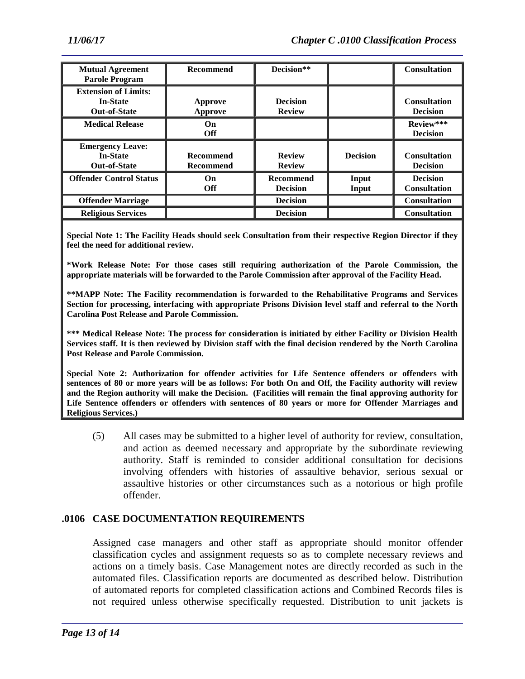| <b>Mutual Agreement</b><br><b>Parole Program</b>                      | <b>Recommend</b>                     | Decision**                          |                 | <b>Consultation</b>                    |
|-----------------------------------------------------------------------|--------------------------------------|-------------------------------------|-----------------|----------------------------------------|
| <b>Extension of Limits:</b><br><b>In-State</b><br><b>Out-of-State</b> | Approve<br><b>Approve</b>            | <b>Decision</b><br><b>Review</b>    |                 | <b>Consultation</b><br><b>Decision</b> |
| <b>Medical Release</b>                                                | On.<br>Off                           |                                     |                 | Review***<br><b>Decision</b>           |
| <b>Emergency Leave:</b><br><b>In-State</b><br><b>Out-of-State</b>     | <b>Recommend</b><br><b>Recommend</b> | <b>Review</b><br><b>Review</b>      | <b>Decision</b> | <b>Consultation</b><br><b>Decision</b> |
| <b>Offender Control Status</b>                                        | On.<br><b>Off</b>                    | <b>Recommend</b><br><b>Decision</b> | Input<br>Input  | <b>Decision</b><br><b>Consultation</b> |
| <b>Offender Marriage</b>                                              |                                      | <b>Decision</b>                     |                 | <b>Consultation</b>                    |
| <b>Religious Services</b>                                             |                                      | <b>Decision</b>                     |                 | <b>Consultation</b>                    |

**Special Note 1: The Facility Heads should seek Consultation from their respective Region Director if they feel the need for additional review.**

**\*Work Release Note: For those cases still requiring authorization of the Parole Commission, the appropriate materials will be forwarded to the Parole Commission after approval of the Facility Head.** 

**\*\*MAPP Note: The Facility recommendation is forwarded to the Rehabilitative Programs and Services Section for processing, interfacing with appropriate Prisons Division level staff and referral to the North Carolina Post Release and Parole Commission.**

**\*\*\* Medical Release Note: The process for consideration is initiated by either Facility or Division Health Services staff. It is then reviewed by Division staff with the final decision rendered by the North Carolina Post Release and Parole Commission.**

**Special Note 2: Authorization for offender activities for Life Sentence offenders or offenders with sentences of 80 or more years will be as follows: For both On and Off, the Facility authority will review and the Region authority will make the Decision. (Facilities will remain the final approving authority for Life Sentence offenders or offenders with sentences of 80 years or more for Offender Marriages and Religious Services.)**

(5) All cases may be submitted to a higher level of authority for review, consultation, and action as deemed necessary and appropriate by the subordinate reviewing authority. Staff is reminded to consider additional consultation for decisions involving offenders with histories of assaultive behavior, serious sexual or assaultive histories or other circumstances such as a notorious or high profile offender.

#### **.0106 CASE DOCUMENTATION REQUIREMENTS**

Assigned case managers and other staff as appropriate should monitor offender classification cycles and assignment requests so as to complete necessary reviews and actions on a timely basis. Case Management notes are directly recorded as such in the automated files. Classification reports are documented as described below. Distribution of automated reports for completed classification actions and Combined Records files is not required unless otherwise specifically requested. Distribution to unit jackets is